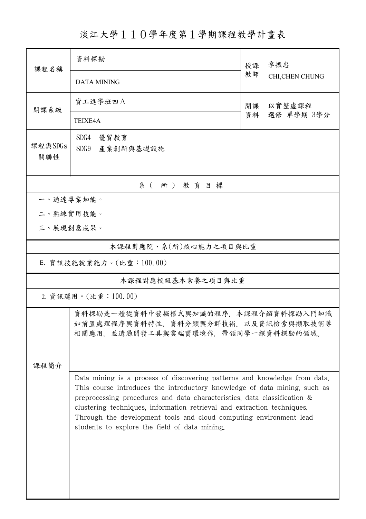淡江大學110學年度第1學期課程教學計畫表

| 課程名稱                  | 資料探勘                                                                                                                                                                                                                                                                                                                                                                                                                                 | 授課 | 季振忠<br>CHI, CHEN CHUNG |  |  |  |
|-----------------------|--------------------------------------------------------------------------------------------------------------------------------------------------------------------------------------------------------------------------------------------------------------------------------------------------------------------------------------------------------------------------------------------------------------------------------------|----|------------------------|--|--|--|
|                       | <b>DATA MINING</b>                                                                                                                                                                                                                                                                                                                                                                                                                   | 教師 |                        |  |  |  |
| 開課系級                  | 資工進學班四A<br>以實整虛課程<br>開課                                                                                                                                                                                                                                                                                                                                                                                                              |    |                        |  |  |  |
|                       | TEIXE4A                                                                                                                                                                                                                                                                                                                                                                                                                              | 資料 | 選修 單學期 3學分             |  |  |  |
| 課程與SDGs<br>關聯性        | SDG4<br>優質教育<br>SDG9<br>產業創新與基礎設施                                                                                                                                                                                                                                                                                                                                                                                                    |    |                        |  |  |  |
|                       | 系(所)教育目標                                                                                                                                                                                                                                                                                                                                                                                                                             |    |                        |  |  |  |
| 一、通達專業知能。             |                                                                                                                                                                                                                                                                                                                                                                                                                                      |    |                        |  |  |  |
| 二、熟練實用技能。             |                                                                                                                                                                                                                                                                                                                                                                                                                                      |    |                        |  |  |  |
| 三、展現創意成果。             |                                                                                                                                                                                                                                                                                                                                                                                                                                      |    |                        |  |  |  |
| 本課程對應院、系(所)核心能力之項目與比重 |                                                                                                                                                                                                                                                                                                                                                                                                                                      |    |                        |  |  |  |
|                       | E. 資訊技能就業能力。(比重: 100.00)                                                                                                                                                                                                                                                                                                                                                                                                             |    |                        |  |  |  |
|                       | 本課程對應校級基本素養之項目與比重                                                                                                                                                                                                                                                                                                                                                                                                                    |    |                        |  |  |  |
|                       | 2. 資訊運用。(比重:100.00)                                                                                                                                                                                                                                                                                                                                                                                                                  |    |                        |  |  |  |
| 课程简介                  | 資料探勘是一種從資料中發掘樣式與知識的程序,本課程介紹資料探勘入門知識<br>如前置處理程序與資料特性、資料分類與分群技術,以及資訊檢索與擷取技術等<br>相關應用,並透過開發工具與雲端實環境作,帶領同學一探資料探勘的領域。                                                                                                                                                                                                                                                                                                                     |    |                        |  |  |  |
|                       | Data mining is a process of discovering patterns and knowledge from data.<br>This course introduces the introductory knowledge of data mining, such as<br>preprocessing procedures and data characteristics, data classification &<br>clustering techniques, information retrieval and extraction techniques.<br>Through the development tools and cloud computing environment lead<br>students to explore the field of data mining. |    |                        |  |  |  |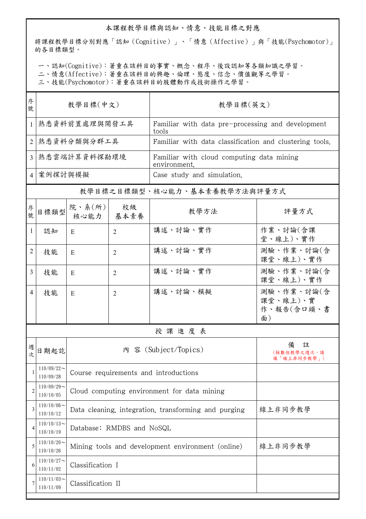## 本課程教學目標與認知、情意、技能目標之對應

將課程教學目標分別對應「認知(Cognitive)」、「情意(Affective)」與「技能(Psychomotor)」 的各目標類型。

一、認知(Cognitive):著重在該科目的事實、概念、程序、後設認知等各類知識之學習。

二、情意(Affective):著重在該科目的興趣、倫理、態度、信念、價值觀等之學習。

三、技能(Psychomotor):著重在該科目的肢體動作或技術操作之學習。

| 教學目標(中文)<br>號                 |                                                                 |                | 教學目標(英文)                                                  |                                            |  |  |
|-------------------------------|-----------------------------------------------------------------|----------------|-----------------------------------------------------------|--------------------------------------------|--|--|
| 熟悉資料前置處理與開發工具                 |                                                                 |                | Familiar with data pre-processing and development         |                                            |  |  |
| 熟悉資料分類與分群工具                   |                                                                 |                | Familiar with data classification and clustering tools.   |                                            |  |  |
| 熟悉雲端計算資料探勘環境                  |                                                                 |                | Familiar with cloud computing data mining<br>environment. |                                            |  |  |
| 案例探討與模擬<br>$\overline{4}$     |                                                                 |                | Case study and simulation.                                |                                            |  |  |
|                               |                                                                 |                |                                                           |                                            |  |  |
| 目標類型                          | 核心能力                                                            | 校級<br>基本素養     | 教學方法                                                      | 評量方式                                       |  |  |
| 認知                            | E                                                               | $\overline{2}$ | 講述、討論、實作                                                  | 作業、討論(含課<br>堂、線上)、實作                       |  |  |
| 技能                            | E                                                               | $\overline{2}$ | 講述、討論、實作                                                  | 測驗、作業、討論(含<br>課堂、線上)、實作                    |  |  |
| 技能                            | E                                                               | 2              | 講述、討論、實作                                                  | 測驗、作業、討論(含<br>課堂、線上)、實作                    |  |  |
| 技能                            | E                                                               | $\overline{2}$ | 講述、討論、模擬                                                  | 測驗、作業、討論(含<br>課堂、線上)、實<br>作、報告(含口頭、書<br>面) |  |  |
| 授課進度表                         |                                                                 |                |                                                           |                                            |  |  |
| 日期起訖                          | 內 容 (Subject/Topics)                                            |                |                                                           | 註<br>備<br>(採數位教學之週次,請<br>填「線上非同步教學」)       |  |  |
| $110/09/22$ ~<br>110/09/28    | Course requirements and introductions                           |                |                                                           |                                            |  |  |
| $110/09/29$ ~<br>110/10/05    | Cloud computing environment for data mining                     |                |                                                           |                                            |  |  |
| $110/10/06 \sim$<br>110/10/12 | 線上非同步教學<br>Data cleaning, integration, transforming and purging |                |                                                           |                                            |  |  |
| $110/10/13$ ~<br>110/10/19    | Database: RMDBS and NoSQL                                       |                |                                                           |                                            |  |  |
| $110/10/20$ ~<br>110/10/26    | 線上非同步教學<br>Mining tools and development environment (online)    |                |                                                           |                                            |  |  |
| $110/10/27$ ~<br>110/11/02    | Classification I                                                |                |                                                           |                                            |  |  |
| $110/11/03$ ~<br>110/11/09    | Classification II                                               |                |                                                           |                                            |  |  |
|                               |                                                                 |                | 院、系 $(\text{m})$                                          | tools<br>教學目標之目標類型、核心能力、基本素養教學方法與評量方式      |  |  |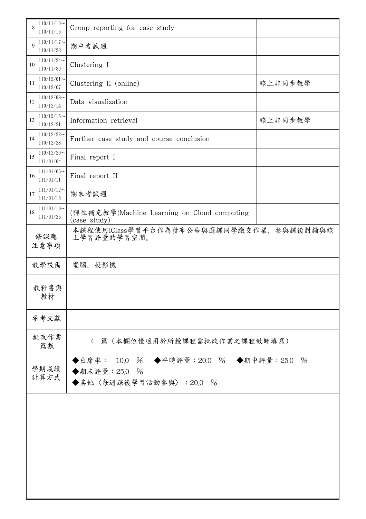|             | $110/11/10$ ~              |                                                                                 |         |  |  |
|-------------|----------------------------|---------------------------------------------------------------------------------|---------|--|--|
| 8           | 110/11/16                  | Group reporting for case study                                                  |         |  |  |
| 9           | $110/11/17$ ~<br>110/11/23 | 期中考試週                                                                           |         |  |  |
| 10          | $110/11/24$ ~<br>110/11/30 | Clustering I                                                                    |         |  |  |
| 11          | $110/12/01$ ~<br>110/12/07 | Clustering II (online)                                                          | 線上非同步教學 |  |  |
| 12          | $110/12/08$ ~<br>110/12/14 | Data visualization                                                              |         |  |  |
| 13          | $110/12/15$ ~<br>110/12/21 | Information retrieval                                                           | 線上非同步教學 |  |  |
| 14          | $110/12/22$ ~<br>110/12/28 | Further case study and course conclusion                                        |         |  |  |
| 15          | $110/12/29$ ~<br>111/01/04 | Final report I                                                                  |         |  |  |
| 16          | $111/01/05$ ~<br>111/01/11 | Final report II                                                                 |         |  |  |
| 17          | $111/01/12$ ~<br>111/01/18 | 期末考試週                                                                           |         |  |  |
| 18          | $111/01/19$ ~<br>111/01/25 | (彈性補充教學)Machine Learning on Cloud computing<br>(case study)                     |         |  |  |
| 修課應<br>注意事項 |                            | 本課程使用iClass學習平台作為發布公告與選課同學繳交作業、參與課後討論與線<br>上學習評量的學習空間。                          |         |  |  |
| 教學設備        |                            | 電腦、投影機                                                                          |         |  |  |
|             | 教科書與<br>教材                 |                                                                                 |         |  |  |
|             | 參考文獻                       |                                                                                 |         |  |  |
| 批改作業<br>篇數  |                            | 4 篇 (本欄位僅適用於所授課程需批改作業之課程教師填寫)                                                   |         |  |  |
|             | 學期成績<br>計算方式               | ◆出席率: 10.0 % ◆平時評量:20.0 % ◆期中評量:25.0<br>◆期末評量: 25.0 %<br>◆其他〈每週課後學習活動參與〉:20.0 % | $\%$    |  |  |
|             |                            |                                                                                 |         |  |  |
|             |                            |                                                                                 |         |  |  |
|             |                            |                                                                                 |         |  |  |
|             |                            |                                                                                 |         |  |  |
|             |                            |                                                                                 |         |  |  |
|             |                            |                                                                                 |         |  |  |